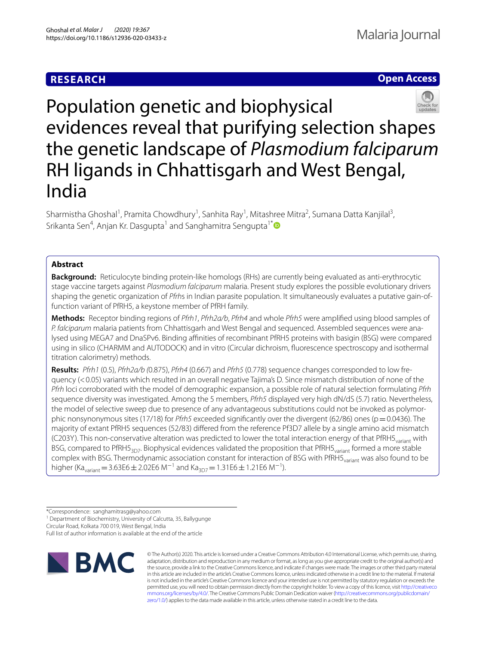# **RESEARCH**

## **Open Access**



Population genetic and biophysical evidences reveal that purifying selection shapes the genetic landscape of Plasmodium falciparum RH ligands in Chhattisgarh and West Bengal, India

Sharmistha Ghoshal<sup>1</sup>, Pramita Chowdhury<sup>1</sup>, Sanhita Ray<sup>1</sup>, Mitashree Mitra<sup>2</sup>, Sumana Datta Kanjilal<sup>3</sup>, Srikanta Sen<sup>4</sup>, Anjan Kr. Dasgupta<sup>1</sup> and Sanghamitra Sengupta<sup>1[\\*](http://orcid.org/0000-0002-1752-6143)</sup>

## **Abstract**

**Background:** Reticulocyte binding protein-like homologs (RHs) are currently being evaluated as anti-erythrocytic stage vaccine targets against Plasmodium falciparum malaria. Present study explores the possible evolutionary drivers shaping the genetic organization of Pfrhs in Indian parasite population. It simultaneously evaluates a putative gain-offunction variant of PfRH5, a keystone member of PfRH family.

**Methods:** Receptor binding regions of Pfrh1, Pfrh2a/b, Pfrh4 and whole Pfrh5 were amplified using blood samples of P. falciparum malaria patients from Chhattisgarh and West Bengal and sequenced. Assembled sequences were analysed using MEGA7 and DnaSPv6. Binding affinities of recombinant PfRH5 proteins with basigin (BSG) were compared using in silico (CHARMM and AUTODOCK) and in vitro (Circular dichroism, fluorescence spectroscopy and isothermal titration calorimetry) methods.

**Results:** Pfrh1 (0.5), Pfrh2a/b (0.875), Pfrh4 (0.667) and Pfrh5 (0.778) sequence changes corresponded to low frequency (< 0.05) variants which resulted in an overall negative Tajima's D. Since mismatch distribution of none of the Pfrh loci corroborated with the model of demographic expansion, a possible role of natural selection formulating *Pfrh* sequence diversity was investigated. Among the 5 members, Pfrh5 displayed very high dN/dS (5.7) ratio. Nevertheless, the model of selective sweep due to presence of any advantageous substitutions could not be invoked as polymorphic nonsynonymous sites (17/18) for Pfrh5 exceeded significantly over the divergent (62/86) ones (p = 0.0436). The majority of extant PfRH5 sequences (52/83) differed from the reference Pf3D7 allele by a single amino acid mismatch (C203Y). This non-conservative alteration was predicted to lower the total interaction energy of that PfRH5<sub>variant</sub> with BSG, compared to PfRH5<sub>3D7</sub>. Biophysical evidences validated the proposition that PfRH5<sub>variant</sub> formed a more stable complex with BSG. Thermodynamic association constant for interaction of BSG with PfRH5<sub>variant</sub> was also found to be higher (Ka<sub>variant</sub> = 3.63E6 ± 2.02E6 M<sup>-1</sup> and Ka<sub>3D7</sub> = 1.31E6 ± 1.21E6 M<sup>-1</sup>).

<sup>1</sup> Department of Biochemistry, University of Calcutta, 35, Ballygunge

Circular Road, Kolkata 700 019, West Bengal, India

Full list of author information is available at the end of the article



© The Author(s) 2020. This article is licensed under a Creative Commons Attribution 4.0 International License, which permits use, sharing, adaptation, distribution and reproduction in any medium or format, as long as you give appropriate credit to the original author(s) and the source, provide a link to the Creative Commons licence, and indicate if changes were made. The images or other third party material in this article are included in the article's Creative Commons licence, unless indicated otherwise in a credit line to the material. If material is not included in the article's Creative Commons licence and your intended use is not permitted by statutory regulation or exceeds the permitted use, you will need to obtain permission directly from the copyright holder. To view a copy of this licence, visit http://creativeco mmons.org/licenses/by/4.0/. The Creative Commons Public Domain Dedication waiver (http://creativecommons.org/publicdomain/ [zero/1.0/\)](http://creativecommons.org/publicdomain/zero/1.0/) applies to the data made available in this article, unless otherwise stated in a credit line to the data.

<sup>\*</sup>Correspondence: sanghamitrasg@yahoo.com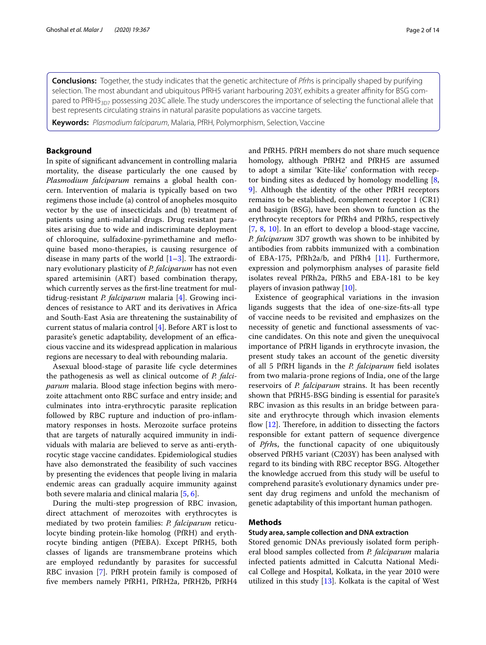**Conclusions:** Together, the study indicates that the genetic architecture of Pfrhs is principally shaped by purifying selection. The most abundant and ubiquitous PfRH5 variant harbouring 203Y, exhibits a greater affinity for BSG compared to PfRH5<sub>3D7</sub> possessing 203C allele. The study underscores the importance of selecting the functional allele that best represents circulating strains in natural parasite populations as vaccine targets.

**Keywords:** Plasmodium falciparum, Malaria, PfRH, Polymorphism, Selection, Vaccine

### **Background**

In spite of significant advancement in controlling malaria mortality, the disease particularly the one caused by Plasmodium falciparum remains a global health concern. Intervention of malaria is typically based on two regimens those include (a) control of anopheles mosquito vector by the use of insecticidals and (b) treatment of patients using anti-malarial drugs. Drug resistant parasites arising due to wide and indiscriminate deployment of chloroquine, sulfadoxine-pyrimethamine and mefloquine based mono-therapies, is causing resurgence of disease in many parts of the world  $[1-3]$  $[1-3]$ . The extraordinary evolutionary plasticity of *P. falciparum* has not even spared artemisinin (ART) based combination therapy, which currently serves as the first-line treatment for multidrug-resistant P. falciparum malaria [[4\]](#page-12-2). Growing incidences of resistance to ART and its derivatives in Africa and South-East Asia are threatening the sustainability of current status of malaria control [\[4](#page-12-2)]. Before ART is lost to parasite's genetic adaptability, development of an efficacious vaccine and its widespread application in malarious regions are necessary to deal with rebounding malaria.

Asexual blood-stage of parasite life cycle determines the pathogenesis as well as clinical outcome of P. falciparum malaria. Blood stage infection begins with merozoite attachment onto RBC surface and entry inside; and culminates into intra-erythrocytic parasite replication followed by RBC rupture and induction of pro-inflammatory responses in hosts. Merozoite surface proteins that are targets of naturally acquired immunity in individuals with malaria are believed to serve as anti-erythrocytic stage vaccine candidates. Epidemiological studies have also demonstrated the feasibility of such vaccines by presenting the evidences that people living in malaria endemic areas can gradually acquire immunity against both severe malaria and clinical malaria [\[5](#page-12-3), [6\]](#page-12-4).

During the multi-step progression of RBC invasion, direct attachment of merozoites with erythrocytes is mediated by two protein families: P. falciparum reticulocyte binding protein-like homolog (PfRH) and erythrocyte binding antigen (PfEBA). Except PfRH5, both classes of ligands are transmembrane proteins which are employed redundantly by parasites for successful RBC invasion [\[7](#page-12-5)]. PfRH protein family is composed of five members namely PfRH1, PfRH2a, PfRH2b, PfRH4 and PfRH5. PfRH members do not share much sequence homology, although PfRH2 and PfRH5 are assumed to adopt a similar 'Kite-like' conformation with receptor binding sites as deduced by homology modelling [\[8](#page-12-6), [9\]](#page-12-7). Although the identity of the other PfRH receptors remains to be established, complement receptor 1 (CR1) and basigin (BSG), have been shown to function as the erythrocyte receptors for PfRh4 and PfRh5, respectively [[7,](#page-12-5) [8](#page-12-6), [10](#page-12-8)]. In an effort to develop a blood-stage vaccine, P. falciparum 3D7 growth was shown to be inhibited by antibodies from rabbits immunized with a combination of EBA-175, PfRh2a/b, and PfRh4 [\[11\]](#page-12-9). Furthermore, expression and polymorphism analyses of parasite field isolates reveal PfRh2a, PfRh5 and EBA-181 to be key players of invasion pathway [\[10](#page-12-8)].

Existence of geographical variations in the invasion ligands suggests that the idea of one-size-fits-all type of vaccine needs to be revisited and emphasizes on the necessity of genetic and functional assessments of vaccine candidates. On this note and given the unequivocal importance of PfRH ligands in erythrocyte invasion, the present study takes an account of the genetic diversity of all 5 PfRH ligands in the P. falciparum field isolates from two malaria-prone regions of India, one of the large reservoirs of P. falciparum strains. It has been recently shown that PfRH5-BSG binding is essential for parasite's RBC invasion as this results in an bridge between parasite and erythrocyte through which invasion elements flow [\[12](#page-12-10)]. Therefore, in addition to dissecting the factors responsible for extant pattern of sequence divergence of Pfrhs, the functional capacity of one ubiquitously observed PfRH5 variant (C203Y) has been analysed with regard to its binding with RBC receptor BSG. Altogether the knowledge accrued from this study will be useful to comprehend parasite's evolutionary dynamics under present day drug regimens and unfold the mechanism of genetic adaptability of this important human pathogen.

### **Methods**

### **Study area, sample collection and DNA extraction**

Stored genomic DNAs previously isolated form peripheral blood samples collected from P. falciparum malaria infected patients admitted in Calcutta National Medical College and Hospital, Kolkata, in the year 2010 were utilized in this study  $[13]$  $[13]$ . Kolkata is the capital of West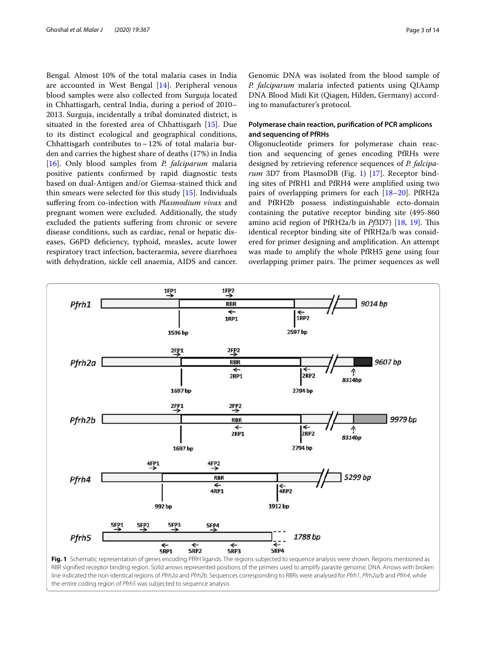Bengal. Almost 10% of the total malaria cases in India are accounted in West Bengal [[14\]](#page-12-12). Peripheral venous blood samples were also collected from Surguja located in Chhattisgarh, central India, during a period of 2010– 2013. Surguja, incidentally a tribal dominated district, is situated in the forested area of Chhattisgarh [\[15\]](#page-12-13). Due to its distinct ecological and geographical conditions, Chhattisgarh contributes to  $\sim$  12% of total malaria burden and carries the highest share of deaths (17%) in India [[16\]](#page-12-14). Only blood samples from P. falciparum malaria positive patients confirmed by rapid diagnostic tests based on dual-Antigen and/or Giemsa-stained thick and thin smears were selected for this study [[15\]](#page-12-13). Individuals suffering from co-infection with *Plasmodium vivax* and pregnant women were excluded. Additionally, the study excluded the patients suffering from chronic or severe disease conditions, such as cardiac, renal or hepatic diseases, G6PD deficiency, typhoid, measles, acute lower respiratory tract infection, bacteraemia, severe diarrhoea with dehydration, sickle cell anaemia, AIDS and cancer.

Genomic DNA was isolated from the blood sample of P. falciparum malaria infected patients using QIAamp DNA Blood Midi Kit (Qiagen, Hilden, Germany) according to manufacturer's protocol.

### **Polymerase chain reaction, purification of PCR amplicons and sequencing of PfRHs**

Oligonucleotide primers for polymerase chain reaction and sequencing of genes encoding PfRHs were designed by retrieving reference sequences of P. falcipa*rum* 3D7 from PlasmoDB (Fig. [1\)](#page-2-0) [\[17\]](#page-12-15). Receptor binding sites of PfRH1 and PfRH4 were amplified using two pairs of overlapping primers for each [[18–](#page-12-16)[20](#page-13-0)]. PfRH2a and PfRH2b possess indistinguishable ecto-domain containing the putative receptor binding site (495-860 amino acid region of PfRH2a/b in  $Pf3D7$ ) [[18,](#page-12-16) [19](#page-12-17)]. This identical receptor binding site of PfRH2a/b was considered for primer designing and amplification. An attempt was made to amplify the whole PfRH5 gene using four overlapping primer pairs. The primer sequences as well

<span id="page-2-0"></span>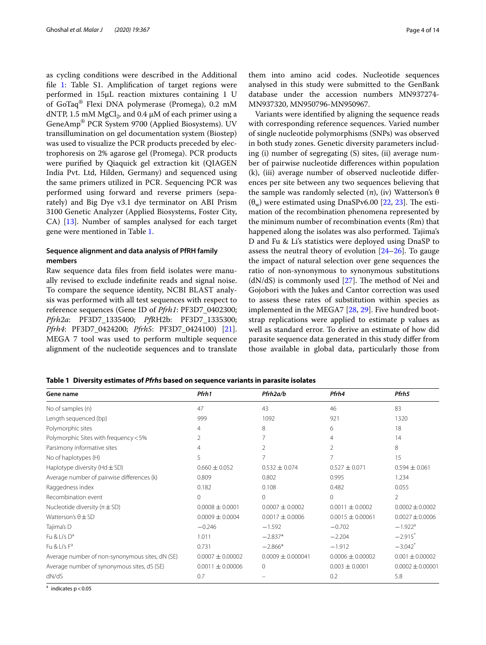as cycling conditions were described in the Additional file [1](#page-12-18): Table S1. Amplification of target regions were performed in 15μL reaction mixtures containing 1 U of GoTaq® Flexi DNA polymerase (Promega), 0.2 mM dNTP, 1.5 mM MgCl<sub>2</sub>, and 0.4 μM of each primer using a GeneAmp® PCR System 9700 (Applied Biosystems). UV transillumination on gel documentation system (Biostep) was used to visualize the PCR products preceded by electrophoresis on 2% agarose gel (Promega). PCR products were purified by Qiaquick gel extraction kit (QIAGEN India Pvt. Ltd, Hilden, Germany) and sequenced using the same primers utilized in PCR. Sequencing PCR was performed using forward and reverse primers (separately) and Big Dye v3.1 dye terminator on ABI Prism 3100 Genetic Analyzer (Applied Biosystems, Foster City, CA) [\[13](#page-12-11)]. Number of samples analysed for each target gene were mentioned in Table [1](#page-3-0).

### **Sequence alignment and data analysis of PfRH family members**

Raw sequence data files from field isolates were manually revised to exclude indefinite reads and signal noise. To compare the sequence identity, NCBI BLAST analysis was performed with all test sequences with respect to reference sequences (Gene ID of Pfrh1: PF3D7\_0402300; Pfrh2a: PF3D7\_1335400; PfRH2b: PF3D7\_1335300; Pfrh4: PF3D7\_0424200; Pfrh5: PF3D7\_0424100) [\[21](#page-13-1)]. MEGA 7 tool was used to perform multiple sequence alignment of the nucleotide sequences and to translate them into amino acid codes. Nucleotide sequences analysed in this study were submitted to the GenBank database under the accession numbers MN937274- MN937320, MN950796-MN950967.

Variants were identified by aligning the sequence reads with corresponding reference sequences. Varied number of single nucleotide polymorphisms (SNPs) was observed in both study zones. Genetic diversity parameters including (i) number of segregating (S) sites, (ii) average number of pairwise nucleotide differences within population (k), (iii) average number of observed nucleotide differences per site between any two sequences believing that the sample was randomly selected  $(π)$ , (iv) Watterson's θ  $(\theta_w)$  were estimated using DnaSPv6.00 [\[22](#page-13-2), [23](#page-13-3)]. The estimation of the recombination phenomena represented by the minimum number of recombination events (Rm) that happened along the isolates was also performed. Tajima's D and Fu & Li's statistics were deployed using DnaSP to assess the neutral theory of evolution  $[24-26]$  $[24-26]$ . To gauge the impact of natural selection over gene sequences the ratio of non-synonymous to synonymous substitutions  $(dN/dS)$  is commonly used  $[27]$  $[27]$  $[27]$ . The method of Nei and Gojobori with the Jukes and Cantor correction was used to assess these rates of substitution within species as implemented in the MEGA7 [\[28](#page-13-7), [29\]](#page-13-8). Five hundred bootstrap replications were applied to estimate p values as well as standard error. To derive an estimate of how did parasite sequence data generated in this study differ from those available in global data, particularly those from

<span id="page-3-0"></span>

|  |  |  | Table 1 Diversity estimates of Pfrhs based on sequence variants in parasite isolates |
|--|--|--|--------------------------------------------------------------------------------------|
|  |  |  |                                                                                      |

| Gene name                                       | Pfrh1                | Pfrh2a/b              | Pfrh4                | Pfrh5                 |
|-------------------------------------------------|----------------------|-----------------------|----------------------|-----------------------|
| No of samples (n)                               | 47                   | 43                    | 46                   | 83                    |
| Length sequenced (bp)                           | 999                  | 1092                  | 921                  | 1320                  |
| Polymorphic sites                               | $\overline{4}$       | 8                     | 6                    | 18                    |
| Polymorphic Sites with frequency < 5%           | 2                    |                       | 4                    | 14                    |
| Parsimony informative sites                     | 4                    | 2                     | 2                    | 8                     |
| No of haplotypes (H)                            | 5                    | 7                     | 7                    | 15                    |
| Haplotype diversity ( $Hd \pm SD$ )             | $0.660 \pm 0.052$    | $0.532 \pm 0.074$     | $0.527 \pm 0.071$    | $0.594 \pm 0.061$     |
| Average number of pairwise differences (k)      | 0.809                | 0.802                 | 0.995                | 1.234                 |
| Raggedness index                                | 0.182                | 0.108                 | 0.482                | 0.055                 |
| Recombination event                             | $\Omega$             | $\Omega$              | 0                    | $\overline{2}$        |
| Nucleotide diversity ( $\pi \pm SD$ )           | $0.0008 + 0.0001$    | $0.0007 + 0.0002$     | $0.0011 \pm 0.0002$  | $0.0002 + 0.0002$     |
| Watterson's $\theta \pm SD$                     | $0.0009 \pm 0.0004$  | $0.0017 \pm 0.0006$   | $0.0015 \pm 0.00061$ | $0.0027 \pm 0.0006$   |
| Tajima's D                                      | $-0.246$             | $-1.592$              | $-0.702$             | $-1.922$ <sup>a</sup> |
| Fu & Li's $D^a$                                 | 1.011                | $-2.837*$             | $-2.204$             | $-2.915$ <sup>*</sup> |
| Fu & Li's $F^a$                                 | 0.731                | $-2.866*$             | $-1.912$             | $-3.042$ <sup>*</sup> |
| Average number of non-synonymous sites, dN (SE) | $0.0007 \pm 0.00002$ | $0.0009 \pm 0.000041$ | $0.0006 \pm 0.00002$ | $0.001 \pm 0.00002$   |
| Average number of synonymous sites, dS (SE)     | $0.0011 \pm 0.00006$ | $\Omega$              | $0.003 \pm 0.0001$   | $0.0002 + 0.00001$    |
| dN/dS                                           | 0.7                  |                       | 0.2                  | 5.8                   |

 $a$  indicates  $p < 0.05$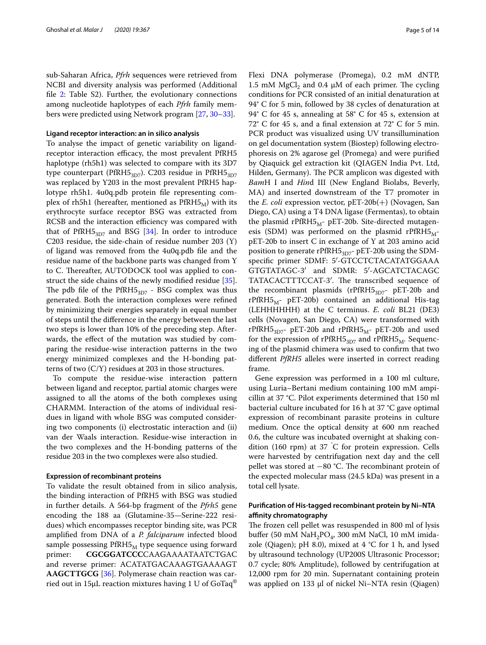sub-Saharan Africa, Pfrh sequences were retrieved from NCBI and diversity analysis was performed (Additional file [2](#page-12-19): Table S2). Further, the evolutionary connections among nucleotide haplotypes of each *Pfrh* family members were predicted using Network program [[27,](#page-13-6) [30](#page-13-9)[–33\]](#page-13-10).

### **Ligand receptor interaction: an in silico analysis**

To analyse the impact of genetic variability on ligandreceptor interaction efficacy, the most prevalent PfRH5 haplotype (rh5h1) was selected to compare with its 3D7 type counterpart (PfRH5 $_{3D7}$ ). C203 residue in PfRH5 $_{3D7}$ was replaced by Y203 in the most prevalent PfRH5 haplotype rh5h1. 4u0q.pdb protein file representing complex of rh5h1 (hereafter, mentioned as  $PfRH5_M$ ) with its erythrocyte surface receptor BSG was extracted from RCSB and the interaction efficiency was compared with that of PfRH5 $_{3D7}$  and BSG [[34\]](#page-13-11). In order to introduce C203 residue, the side-chain of residue number 203 (Y) of ligand was removed from the 4u0q.pdb file and the residue name of the backbone parts was changed from Y to C. Thereafter, AUTODOCK tool was applied to construct the side chains of the newly modified residue [\[35](#page-13-12)]. The pdb file of the  $PfRH5_{3D7}$  - BSG complex was thus generated. Both the interaction complexes were refined by minimizing their energies separately in equal number of steps until the difference in the energy between the last two steps is lower than 10% of the preceding step. Afterwards, the effect of the mutation was studied by comparing the residue-wise interaction patterns in the two energy minimized complexes and the H-bonding patterns of two (C/Y) residues at 203 in those structures.

To compute the residue-wise interaction pattern between ligand and receptor, partial atomic charges were assigned to all the atoms of the both complexes using CHARMM. Interaction of the atoms of individual residues in ligand with whole BSG was computed considering two components (i) electrostatic interaction and (ii) van der Waals interaction. Residue-wise interaction in the two complexes and the H-bonding patterns of the residue 203 in the two complexes were also studied.

### **Expression of recombinant proteins**

To validate the result obtained from in silico analysis, the binding interaction of PfRH5 with BSG was studied in further details. A 564-bp fragment of the Pfrh5 gene encoding the 188 aa (Glutamine-35—Serine-222 residues) which encompasses receptor binding site, was PCR amplified from DNA of a P. falciparum infected blood sample possessing  $PfRH5_M$  type sequence using forward primer: **CGCGGATCCC**CAAGAAAATAATCTGAC and reverse primer: ACATATGACAAAGTGAAAAGT AAGCTTGCG [[36\]](#page-13-13). Polymerase chain reaction was carried out in 15μL reaction mixtures having 1 U of  $GoTaq^{\otimes}$ 

Flexi DNA polymerase (Promega), 0.2 mM dNTP, 1.5 mM  $MgCl<sub>2</sub>$  and 0.4  $\mu$ M of each primer. The cycling conditions for PCR consisted of an initial denaturation at 94° C for 5 min, followed by 38 cycles of denaturation at 94° C for 45 s, annealing at 58° C for 45 s, extension at 72° C for 45 s, and a final extension at 72° C for 5 min. PCR product was visualized using UV transillumination on gel documentation system (Biostep) following electrophoresis on 2% agarose gel (Promega) and were purified by Qiaquick gel extraction kit (QIAGEN India Pvt. Ltd, Hilden, Germany). The PCR amplicon was digested with BamH I and Hind III (New England Biolabs, Beverly, MA) and inserted downstream of the T7 promoter in the *E. coli* expression vector,  $pET-20b(+)$  (Novagen, San Diego, CA) using a T4 DNA ligase (Fermentas), to obtain the plasmid rPfRH $5<sub>M</sub>$ - pET-20b. Site-directed mutagenesis (SDM) was performed on the plasmid rPfRH $5<sub>M</sub>$ pET-20b to insert C in exchange of Y at 203 amino acid position to generate rPfRH5 $_{3D7}$ - pET-20b using the SDMspecific primer SDMF: 5'-GTCCTCTACATATGGAAA GTGTATAGC-3' and SDMR: 5'-AGCATCTACAGC TATACACTTTCCAT-3'. The transcribed sequence of the recombinant plasmids ( $r$ PfRH $5_{3D7}$ - pET-20b and rPfRH5 $_{\rm M}$ - pET-20b) contained an additional His-tag (LEHHHHHH) at the C terminus. E. coli BL21 (DE3) cells (Novagen, San Diego, CA) were transformed with rPfRH5 $_{3D7}$ - pET-20b and rPfRH5 $_{M}$ - pET-20b and used for the expression of rPfRH5 $_{3D7}$  and rPfRH5<sub>M</sub>. Sequencing of the plasmid chimera was used to confirm that two different *PfRH5* alleles were inserted in correct reading frame.

Gene expression was performed in a 100 ml culture, using Luria–Bertani medium containing 100 mM ampicillin at 37 °C. Pilot experiments determined that 150 ml bacterial culture incubated for 16 h at 37 °C gave optimal expression of recombinant parasite proteins in culture medium. Once the optical density at 600 nm reached 0.6, the culture was incubated overnight at shaking condition (160 rpm) at 37  $\degree$ C for protein expression. Cells were harvested by centrifugation next day and the cell pellet was stored at −80 °C. The recombinant protein of the expected molecular mass (24.5 kDa) was present in a total cell lysate.

### **Purification of His‑tagged recombinant protein by Ni–NTA affinity chromatography**

The frozen cell pellet was resuspended in 800 ml of lysis buffer (50 mM  $\text{NaH}_2\text{PO}_4$ , 300 mM NaCl, 10 mM imidazole (Qiagen); pH 8.0), mixed at  $4 °C$  for 1 h, and lysed by ultrasound technology (UP200S Ultrasonic Processor; 0.7 cycle; 80% Amplitude), followed by centrifugation at 12,000 rpm for 20 min. Supernatant containing protein was applied on 133 µl of nickel Ni–NTA resin (Qiagen)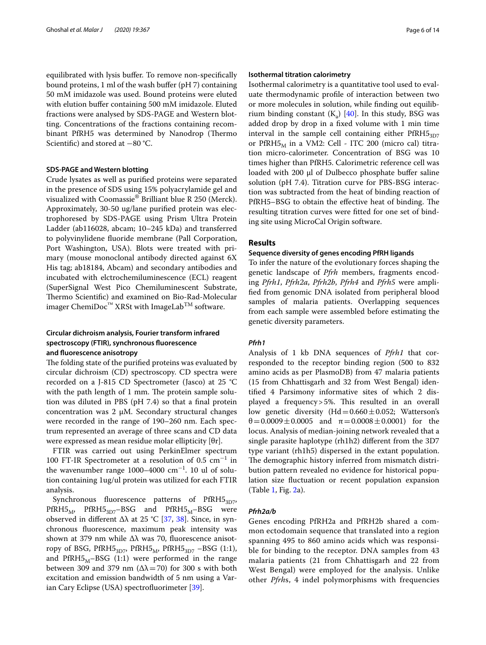equilibrated with lysis buffer. To remove non-specifically bound proteins, 1 ml of the wash buffer (pH 7) containing 50 mM imidazole was used. Bound proteins were eluted with elution buffer containing 500 mM imidazole. Eluted fractions were analysed by SDS-PAGE and Western blotting. Concentrations of the fractions containing recombinant PfRH5 was determined by Nanodrop (Thermo Scientific) and stored at −80 °C.

### **SDS‑PAGE and Western blotting**

Crude lysates as well as purified proteins were separated in the presence of SDS using 15% polyacrylamide gel and visualized with Coomassie® Brilliant blue R 250 (Merck). Approximately, 30-50 ug/lane purified protein was electrophoresed by SDS-PAGE using Prism Ultra Protein Ladder (ab116028, abcam; 10–245 kDa) and transferred to polyvinylidene fluoride membrane (Pall Corporation, Port Washington, USA). Blots were treated with primary (mouse monoclonal antibody directed against 6X His tag; ab18184, Abcam) and secondary antibodies and incubated with elctrochemiluminescence (ECL) reagent (SuperSignal West Pico Chemiluminescent Substrate, Thermo Scientific) and examined on Bio-Rad-Molecular imager ChemiDoc<sup>™</sup> XRSt with ImageLab<sup>TM</sup> software.

## **Circular dichroism analysis, Fourier transform infrared spectroscopy (FTIR), synchronous fluorescence and fluorescence anisotropy**

The folding state of the purified proteins was evaluated by circular dichroism (CD) spectroscopy. CD spectra were recorded on a J-815 CD Spectrometer (Jasco) at 25 °C with the path length of 1 mm. The protein sample solution was diluted in PBS (pH 7.4) so that a final protein concentration was  $2 \mu M$ . Secondary structural changes were recorded in the range of 190–260 nm. Each spectrum represented an average of three scans and CD data were expressed as mean residue molar ellipticity  $[θr]$ .

FTIR was carried out using PerkinElmer spectrum 100 FT-IR Spectrometer at a resolution of 0.5 cm−<sup>1</sup> in the wavenumber range 1000–4000 cm−<sup>1</sup> . 10 ul of solution containing 1ug/ul protein was utilized for each FTIR analysis.

Synchronous fluorescence patterns of  $PfRH5_{3D7}$ ,  $PfRH5<sub>M</sub>$ ,  $PfRH5<sub>3D7</sub> - BSG$  and  $PfRH5<sub>M</sub> - BSG$  were observed in different  $Δλ$  at 25 °C [[37,](#page-13-14) [38\]](#page-13-15). Since, in synchronous fluorescence, maximum peak intensity was shown at 379 nm while  $\Delta\lambda$  was 70, fluorescence anisotropy of BSG, PfRH5<sub>3D7</sub>, PfRH5<sub>M</sub>, PfRH5<sub>3D7</sub> –BSG (1:1), and PfRH $5_M$ –BSG (1:1) were performed in the range between 309 and 379 nm ( $\Delta\lambda$  = 70) for 300 s with both excitation and emission bandwidth of 5 nm using a Varian Cary Eclipse (USA) spectrofluorimeter [\[39\]](#page-13-16).

### **Isothermal titration calorimetry**

Isothermal calorimetry is a quantitative tool used to evaluate thermodynamic profile of interaction between two or more molecules in solution, while finding out equilibrium binding constant  $(K_a)$  [\[40](#page-13-17)]. In this study, BSG was added drop by drop in a fixed volume with 1 min time interval in the sample cell containing either  $PfRH5_{3D7}$ or PfRH $5<sub>M</sub>$  in a VM2: Cell - ITC 200 (micro cal) titration micro-calorimeter. Concentration of BSG was 10 times higher than PfRH5. Calorimetric reference cell was loaded with 200 μl of Dulbecco phosphate buffer saline solution (pH 7.4). Titration curve for PBS-BSG interaction was subtracted from the heat of binding reaction of PfRH5–BSG to obtain the effective heat of binding. The resulting titration curves were fitted for one set of binding site using MicroCal Origin software.

### **Results**

#### **Sequence diversity of genes encoding PfRH ligands**

To infer the nature of the evolutionary forces shaping the genetic landscape of Pfrh members, fragments encoding Pfrh1, Pfrh2a, Pfrh2b, Pfrh4 and Pfrh5 were amplified from genomic DNA isolated from peripheral blood samples of malaria patients. Overlapping sequences from each sample were assembled before estimating the genetic diversity parameters.

### **Pfrh1**

Analysis of 1 kb DNA sequences of Pfrh1 that corresponded to the receptor binding region (500 to 832 amino acids as per PlasmoDB) from 47 malaria patients (15 from Chhattisgarh and 32 from West Bengal) identified 4 Parsimony informative sites of which 2 displayed a frequency > 5%. This resulted in an overall low genetic diversity  $(Hd = 0.660 \pm 0.052;$  Watterson's  $\theta = 0.0009 \pm 0.0005$  and  $\pi = 0.0008 \pm 0.0001$ ) for the locus. Analysis of median-joining network revealed that a single parasite haplotype (rh1h2) different from the 3D7 type variant (rh1h5) dispersed in the extant population. The demographic history inferred from mismatch distribution pattern revealed no evidence for historical population size fluctuation or recent population expansion (Table [1,](#page-3-0) Fig. [2](#page-6-0)a).

### **Pfrh2a/b**

Genes encoding PfRH2a and PfRH2b shared a common ectodomain sequence that translated into a region spanning 495 to 860 amino acids which was responsible for binding to the receptor. DNA samples from 43 malaria patients (21 from Chhattisgarh and 22 from West Bengal) were employed for the analysis. Unlike other Pfrhs, 4 indel polymorphisms with frequencies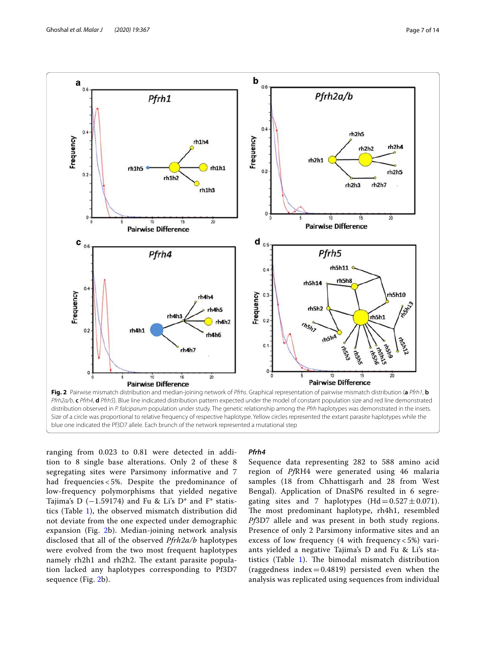

<span id="page-6-0"></span>ranging from 0.023 to 0.81 were detected in addition to 8 single base alterations. Only 2 of these 8 segregating sites were Parsimony informative and 7 had frequencies < 5%. Despite the predominance of low-frequency polymorphisms that yielded negative Tajima's D ( $-1.59174$ ) and Fu & Li's D\* and F\* statistics (Table [1](#page-3-0)), the observed mismatch distribution did not deviate from the one expected under demographic expansion (Fig. [2](#page-6-0)b). Median-joining network analysis disclosed that all of the observed Pfrh2a/b haplotypes were evolved from the two most frequent haplotypes namely rh2h1 and rh2h2. The extant parasite population lacked any haplotypes corresponding to Pf3D7 sequence (Fig. [2](#page-6-0)b).

### **Pfrh4**

Sequence data representing 282 to 588 amino acid region of PfRH4 were generated using 46 malaria samples (18 from Chhattisgarh and 28 from West Bengal). Application of DnaSP6 resulted in 6 segregating sites and 7 haplotypes  $(Hd = 0.527 \pm 0.071)$ . The most predominant haplotype, rh4h1, resembled Pf3D7 allele and was present in both study regions. Presence of only 2 Parsimony informative sites and an excess of low frequency (4 with frequency  $< 5\%$ ) variants yielded a negative Tajima's D and Fu & Li's statistics (Table [1](#page-3-0)). The bimodal mismatch distribution (raggedness index  $= 0.4819$ ) persisted even when the analysis was replicated using sequences from individual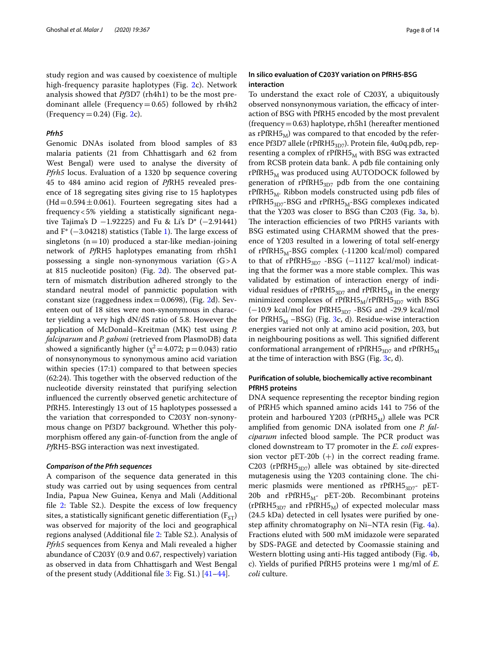study region and was caused by coexistence of multiple high-frequency parasite haplotypes (Fig. [2c](#page-6-0)). Network analysis showed that Pf3D7 (rh4h1) to be the most predominant allele (Frequency  $= 0.65$ ) followed by rh4h2 (Frequency  $= 0.24$  $= 0.24$  $= 0.24$ ) (Fig. 2c).

### **Pfrh5**

Genomic DNAs isolated from blood samples of 83 malaria patients (21 from Chhattisgarh and 62 from West Bengal) were used to analyse the diversity of Pfrh5 locus. Evaluation of a 1320 bp sequence covering 45 to 484 amino acid region of PfRH5 revealed presence of 18 segregating sites giving rise to 15 haplotypes  $(Hd = 0.594 \pm 0.061)$ . Fourteen segregating sites had a frequency < 5% yielding a statistically significant negative Tajima's D −1.92225) and Fu & Li's D\* (−2.91441) and  $F^*$  (-3.04218) statistics (Table [1\)](#page-3-0). The large excess of singletons  $(n = 10)$  produced a star-like median-joining network of PfRH5 haplotypes emanating from rh5h1 possessing a single non-synonymous variation  $(G > A)$ at 815 nucleotide positon) (Fig. [2](#page-6-0)d). The observed pattern of mismatch distribution adhered strongly to the standard neutral model of panmictic population with constant size (raggedness index  $= 0.0698$ ), (Fig. [2d](#page-6-0)). Seventeen out of 18 sites were non-synonymous in character yielding a very high dN/dS ratio of 5.8. However the application of McDonald–Kreitman (MK) test using P. falciparum and P. gaboni (retrieved from PlasmoDB) data showed a significantly higher ( $\chi^2$  = 4.072; p = 0.043) ratio of nonsynonymous to synonymous amino acid variation within species (17:1) compared to that between species (62:24). This together with the observed reduction of the nucleotide diversity reinstated that purifying selection influenced the currently observed genetic architecture of PfRH5. Interestingly 13 out of 15 haplotypes possessed a the variation that corresponded to C203Y non-synonymous change on Pf3D7 background. Whether this polymorphism offered any gain-of-function from the angle of PfRH5-BSG interaction was next investigated.

### **Comparison of the Pfrh sequences**

A comparison of the sequence data generated in this study was carried out by using sequences from central India, Papua New Guinea, Kenya and Mali (Additional file [2:](#page-12-19) Table S2.). Despite the excess of low frequency sites, a statistically significant genetic differentiation ( $F_{ST}$ ) was observed for majority of the loci and geographical regions analysed (Additional file [2](#page-12-19): Table S2.). Analysis of Pfrh5 sequences from Kenya and Mali revealed a higher abundance of C203Y (0.9 and 0.67, respectively) variation as observed in data from Chhattisgarh and West Bengal of the present study (Additional file [3](#page-12-20): Fig. S1.) [[41](#page-13-18)[–44](#page-13-19)].

### **In silico evaluation of C203Y variation on PfRH5‑BSG interaction**

To understand the exact role of C203Y, a ubiquitously observed nonsynonymous variation, the efficacy of interaction of BSG with PfRH5 encoded by the most prevalent  $(frequency = 0.63)$  haplotype, rh5h1 (hereafter mentioned as  $rPfRH5_M$ ) was compared to that encoded by the reference Pf3D7 allele (rPfRH5<sub>3D7</sub>). Protein file, 4u0q.pdb, representing a complex of  $rPfRH5_M$  with BSG was extracted from RCSB protein data bank. A pdb file containing only  $rPfRH5_M$  was produced using AUTODOCK followed by generation of  $rPfRH5<sub>3D7</sub>$  pdb from the one containing rPfRH $5<sub>M</sub>$ . Ribbon models constructed using pdb files of rPfRH5 $_{3D7}$ -BSG and rPfRH5 $_{M}$ -BSG complexes indicated that the Y203 was closer to BSG than C203 (Fig. [3a](#page-8-0), b). The interaction efficiencies of two PfRH5 variants with BSG estimated using CHARMM showed that the presence of Y203 resulted in a lowering of total self-energy of rPfRH5<sub>M</sub>-BSG complex (-11200 kcal/mol) compared to that of rPfRH5 $_{3D7}$  -BSG (-11127 kcal/mol) indicating that the former was a more stable complex. This was validated by estimation of interaction energy of individual residues of rPfRH5 $_{3D7}$  and rPfRH5 $_{\rm M}$  in the energy minimized complexes of  $rPfRH5_M/rPfRH5_{3D7}$  with BSG  $(-10.9 \text{ kcal/mol}$  for PfRH5<sub>3D7</sub> -BSG and -29.9 kcal/mol for PfRH5 $_M$  –BSG) (Fig. [3](#page-8-0)c, d). Residue-wise interaction energies varied not only at amino acid position, 203, but in neighbouring positions as well. This signified different conformational arrangement of rPfRH5<sub>3D7</sub> and rPfRH5<sub>M</sub> at the time of interaction with BSG (Fig. [3c](#page-8-0), d).

### **Purification of soluble, biochemically active recombinant PfRH5 proteins**

DNA sequence representing the receptor binding region of PfRH5 which spanned amino acids 141 to 756 of the protein and harboured Y203 (rPfRH $5<sub>M</sub>$ ) allele was PCR amplified from genomic DNA isolated from one P. falciparum infected blood sample. The PCR product was cloned downstream to T7 promoter in the E. coli expression vector  $pET-20b$  (+) in the correct reading frame. C203 (rPfRH $5_{3D7}$ ) allele was obtained by site-directed mutagenesis using the Y203 containing clone. The chimeric plasmids were mentioned as  $rPfRH5_{3D7}$ - pET-20b and  $r$ PfRH $5<sub>M</sub>$ - pET-20b. Recombinant proteins (rPfRH5 $_{3D7}$  and rPfRH5<sub>M</sub>) of expected molecular mass (24.5 kDa) detected in cell lysates were purified by onestep affinity chromatography on Ni–NTA resin (Fig. [4a](#page-9-0)). Fractions eluted with 500 mM imidazole were separated by SDS-PAGE and detected by Coomassie staining and Western blotting using anti-His tagged antibody (Fig. [4](#page-9-0)b, c). Yields of purified PfRH5 proteins were 1 mg/ml of E. coli culture.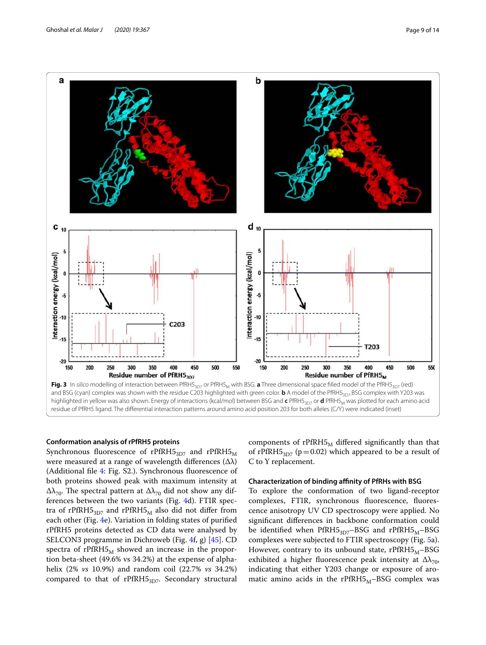

### <span id="page-8-0"></span>**Conformation analysis of rPfRH5 proteins**

Synchronous fluorescence of rPfRH5 $_{3D7}$  and rPfRH5 $_{\rm M}$ were measured at a range of wavelength differences  $(\Delta \lambda)$ (Additional file [4](#page-12-21): Fig. S2.). Synchronous fluorescence of both proteins showed peak with maximum intensity at  $\Delta\lambda_{70}$ . The spectral pattern at  $\Delta\lambda_{70}$  did not show any differences between the two variants (Fig. [4d](#page-9-0)). FTIR spectra of rPfRH5 $_{3D7}$  and rPfRH5<sub>M</sub> also did not differ from each other (Fig. [4e](#page-9-0)). Variation in folding states of purified rPfRH5 proteins detected as CD data were analysed by SELCON3 programme in Dichroweb (Fig. [4f](#page-9-0), g) [[45](#page-13-20)]. CD spectra of rPfRH $5<sub>M</sub>$  showed an increase in the proportion beta-sheet (49.6% vs 34.2%) at the expense of alphahelix (2% vs 10.9%) and random coil (22.7% vs 34.2%) compared to that of  $rPFRH5_{3D7}$ . Secondary structural components of  $rPfRH5_M$  differed significantly than that of rPfRH5<sub>3D7</sub> (p=0.02) which appeared to be a result of C to Y replacement.

### **Characterization of binding affinity of PfRHs with BSG**

To explore the conformation of two ligand-receptor complexes, FTIR, synchronous fluorescence, fluorescence anisotropy UV CD spectroscopy were applied. No significant differences in backbone conformation could be identified when  $PfRH5_{3D7}$ -BSG and  $rPfRH5_M$ -BSG complexes were subjected to FTIR spectroscopy (Fig. [5a](#page-10-0)). However, contrary to its unbound state,  $rPfRH5_M-BSG$ exhibited a higher fluorescence peak intensity at  $\Delta\lambda_{70}$ , indicating that either Y203 change or exposure of aromatic amino acids in the  $rPfRH5_M-BSG$  complex was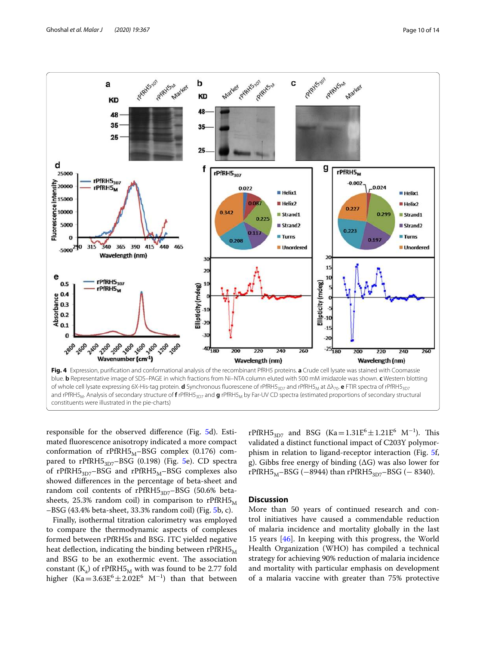

<span id="page-9-0"></span>responsible for the observed difference (Fig. [5](#page-10-0)d). Estimated fluorescence anisotropy indicated a more compact conformation of rPfRH5 $_{\rm M}$ –BSG complex (0.176) compared to  $r$ PfRH $5_{3D7}$  $5_{3D7}$ –BSG (0.198) (Fig. 5e). CD spectra of rPfRH5 $_{3D7}$ –BSG and rPfRH5 $_{M}$ –BSG complexes also showed differences in the percentage of beta-sheet and random coil contents of rPfRH53D7-BSG (50.6% betasheets, 25.3% random coil) in comparison to rPfRH $5<sub>M</sub>$ –BSG (43.4% beta-sheet, 33.3% random coil) (Fig. [5](#page-10-0)b, c).

Finally, isothermal titration calorimetry was employed to compare the thermodynamic aspects of complexes formed between rPfRH5s and BSG. ITC yielded negative heat deflection, indicating the binding between rPfRH $5<sub>M</sub>$ and BSG to be an exothermic event. The association constant  $(K_a)$  of rPfRH5<sub>M</sub> with was found to be 2.77 fold higher  $(Ka=3.63E^6 \pm 2.02E^6 \text{ M}^{-1})$  than that between

rPfRH5<sub>3D7</sub> and BSG (Ka =  $1.31E^6 \pm 1.21E^6$  M<sup>-1</sup>). This validated a distinct functional impact of C203Y polymorphism in relation to ligand-receptor interaction (Fig. [5](#page-10-0)f, g). Gibbs free energy of binding (ΔG) was also lower for rPfRH5<sub>M</sub>–BSG (−8944) than rPfRH5<sub>3D7</sub>–BSG (− 8340).

### **Discussion**

More than 50 years of continued research and control initiatives have caused a commendable reduction of malaria incidence and mortality globally in the last 15 years [\[46](#page-13-21)]. In keeping with this progress, the World Health Organization (WHO) has compiled a technical strategy for achieving 90% reduction of malaria incidence and mortality with particular emphasis on development of a malaria vaccine with greater than 75% protective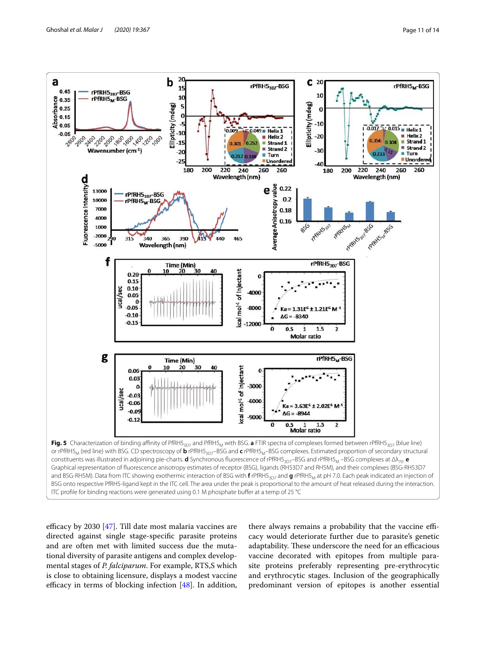

<span id="page-10-0"></span>efficacy by 2030 [[47\]](#page-13-22). Till date most malaria vaccines are directed against single stage-specific parasite proteins and are often met with limited success due the mutational diversity of parasite antigens and complex developmental stages of P. falciparum. For example, RTS,S which is close to obtaining licensure, displays a modest vaccine efficacy in terms of blocking infection [\[48\]](#page-13-23). In addition,

there always remains a probability that the vaccine efficacy would deteriorate further due to parasite's genetic adaptability. These underscore the need for an efficacious vaccine decorated with epitopes from multiple parasite proteins preferably representing pre-erythrocytic and erythrocytic stages. Inclusion of the geographically predominant version of epitopes is another essential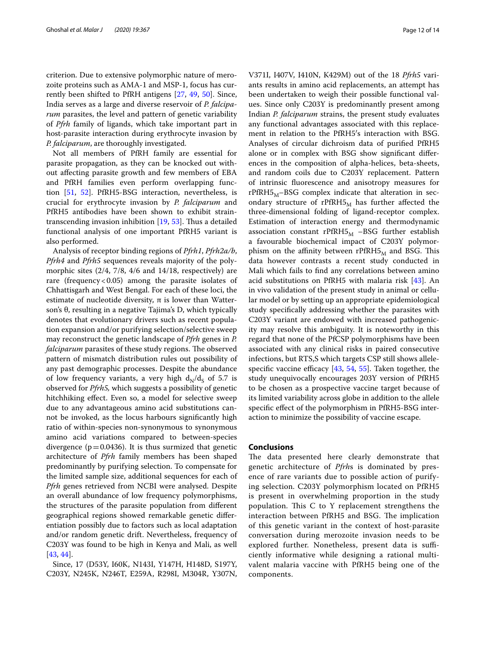criterion. Due to extensive polymorphic nature of merozoite proteins such as AMA-1 and MSP-1, focus has currently been shifted to PfRH antigens [[27,](#page-13-6) [49](#page-13-24), [50\]](#page-13-25). Since, India serves as a large and diverse reservoir of P. falciparum parasites, the level and pattern of genetic variability of Pfrh family of ligands, which take important part in host-parasite interaction during erythrocyte invasion by P. falciparum, are thoroughly investigated.

Not all members of PfRH family are essential for parasite propagation, as they can be knocked out without affecting parasite growth and few members of EBA and PfRH families even perform overlapping function [[51](#page-13-26), [52\]](#page-13-27). PfRH5-BSG interaction, nevertheless, is crucial for erythrocyte invasion by P. falciparum and PfRH5 antibodies have been shown to exhibit straintranscending invasion inhibition [[19](#page-12-17), [53](#page-13-28)]. Thus a detailed functional analysis of one important PfRH5 variant is also performed.

Analysis of receptor binding regions of Pfrh1, Pfrh2a/b, Pfrh4 and Pfrh5 sequences reveals majority of the polymorphic sites (2/4, 7/8, 4/6 and 14/18, respectively) are rare (frequency < 0.05) among the parasite isolates of Chhattisgarh and West Bengal. For each of these loci, the estimate of nucleotide diversity,  $\pi$  is lower than Watterson's θ, resulting in a negative Tajima's D, which typically denotes that evolutionary drivers such as recent population expansion and/or purifying selection/selective sweep may reconstruct the genetic landscape of Pfrh genes in P. falciparum parasites of these study regions. The observed pattern of mismatch distribution rules out possibility of any past demographic processes. Despite the abundance of low frequency variants, a very high  $d_N/d_S$  of 5.7 is observed for Pfrh5, which suggests a possibility of genetic hitchhiking effect. Even so, a model for selective sweep due to any advantageous amino acid substitutions cannot be invoked, as the locus harbours significantly high ratio of within-species non-synonymous to synonymous amino acid variations compared to between-species divergence ( $p = 0.0436$ ). It is thus surmized that genetic architecture of Pfrh family members has been shaped predominantly by purifying selection. To compensate for the limited sample size, additional sequences for each of Pfrh genes retrieved from NCBI were analysed. Despite an overall abundance of low frequency polymorphisms, the structures of the parasite population from different geographical regions showed remarkable genetic differentiation possibly due to factors such as local adaptation and/or random genetic drift. Nevertheless, frequency of C203Y was found to be high in Kenya and Mali, as well [[43,](#page-13-29) [44](#page-13-19)].

Since, 17 (D53Y, I60K, N143I, Y147H, H148D, S197Y, C203Y, N245K, N246T, E259A, R298I, M304R, Y307N,

V371I, I407V, I410N, K429M) out of the 18 Pfrh5 variants results in amino acid replacements, an attempt has been undertaken to weigh their possible functional values. Since only C203Y is predominantly present among Indian P. falciparum strains, the present study evaluates any functional advantages associated with this replacement in relation to the PfRH5′s interaction with BSG. Analyses of circular dichroism data of purified PfRH5 alone or in complex with BSG show significant differences in the composition of alpha-helices, beta-sheets, and random coils due to C203Y replacement. Pattern of intrinsic fluorescence and anisotropy measures for rPfRH5 $_{\rm M}$ –BSG complex indicate that alteration in secondary structure of rPfRH $5<sub>M</sub>$  has further affected the three-dimensional folding of ligand-receptor complex. Estimation of interaction energy and thermodynamic association constant rPfRH5 $_{\rm M}$  –BSG further establish a favourable biochemical impact of C203Y polymorphism on the affinity between rPfRH $5<sub>M</sub>$  and BSG. This data however contrasts a recent study conducted in Mali which fails to find any correlations between amino acid substitutions on PfRH5 with malaria risk [[43\]](#page-13-29). An in vivo validation of the present study in animal or cellular model or by setting up an appropriate epidemiological study specifically addressing whether the parasites with C203Y variant are endowed with increased pathogenicity may resolve this ambiguity. It is noteworthy in this regard that none of the PfCSP polymorphisms have been associated with any clinical risks in paired consecutive infections, but RTS,S which targets CSP still shows allelespecific vaccine efficacy [\[43](#page-13-29), [54,](#page-13-30) [55\]](#page-13-31). Taken together, the study unequivocally encourages 203Y version of PfRH5 to be chosen as a prospective vaccine target because of its limited variability across globe in addition to the allele specific effect of the polymorphism in PfRH5-BSG interaction to minimize the possibility of vaccine escape.

#### **Conclusions**

The data presented here clearly demonstrate that genetic architecture of Pfrhs is dominated by presence of rare variants due to possible action of purifying selection. C203Y polymorphism located on PfRH5 is present in overwhelming proportion in the study population. This C to Y replacement strengthens the interaction between PfRH5 and BSG. The implication of this genetic variant in the context of host-parasite conversation during merozoite invasion needs to be explored further. Nonetheless, present data is sufficiently informative while designing a rational multivalent malaria vaccine with PfRH5 being one of the components.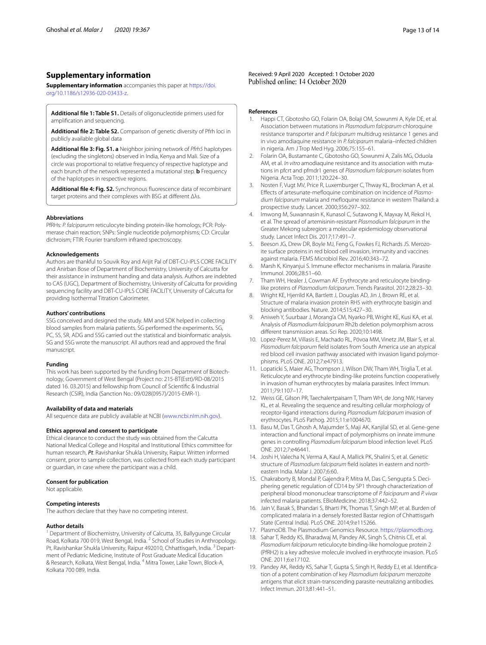### **Supplementary information**

**Supplementary information** accompanies this paper at https://doi. org/10.1186/s12936-020-03433-z.

<span id="page-12-19"></span><span id="page-12-18"></span>**Additional file 1: Table S1.** Details of oligonucleotide primers used for amplification and sequencing.

<span id="page-12-20"></span>**Additional file 2: Table S2.** Comparison of genetic diversity of Pfrh loci in publicly available global data

**Additional file 3: Fig. S1. a** Neighbor joining network of Pfrh5 haplotypes (excluding the singletons) observed in India, Kenya and Mali. Size of a circle was proportional to relative frequency of respective haplotype and each brunch of the network represented a mutational step. **b** Frequency of the haplotypes in respective regions.

<span id="page-12-21"></span>**Additional file 4: Fig. S2.** Synchronous fluorescence data of recombinant target proteins and their complexes with BSG at different ∆λs.

#### **Abbreviations**

PfRHs: P. falciparurm reticulocyte binding protein-like homologs; PCR: Polymerase chain reaction; SNPs: Single nucleotide polymorphisms; CD: Circular dichroism; FTIR: Fourier transform infrared spectroscopy.

#### **Acknowledgements**

Authors are thankful to Souvik Roy and Arijit Pal of DBT-CU-IPLS CORE FACILITY and Anirban Bose of Department of Biochemistry, University of Calcutta for their assistance in instrument handing and data analysis. Authors are indebted to CAS (UGC), Department of Biochemistry, University of Calcutta for providing sequencing facility and DBT-CU-IPLS CORE FACILITY, University of Calcutta for providing Isothermal Titration Calorimeter.

#### **Authors' contributions**

SSG conceived and designed the study. MM and SDK helped in collecting blood samples from malaria patients. SG performed the experiments. SG, PC, SS, SR, ADG and SSG carried out the statistical and bioinformatic analysis. SG and SSG wrote the manuscript. All authors read and approved the final manuscript.

#### **Funding**

This work has been supported by the funding from Department of Biotechnology, Government of West Bengal (Project no: 215-BT(Estt)/RD-08/2015 dated 16. 03.2015) and fellowship from Council of Scientific & Industrial Research (CSIR), India (Sanction No.: 09/028(0957)/2015-EMR-1).

#### **Availability of data and materials**

All sequence data are publicly available at NCBI ([www.ncbi.nlm.nih.gov\)](http://www.ncbi.nlm.nih.gov).

#### **Ethics approval and consent to participate**

Ethical clearance to conduct the study was obtained from the Calcutta National Medical College and Hospital and Institutional Ethics committee for human research, Pt. Ravishankar Shukla University, Raipur. Written informed consent, prior to sample collection, was collected from each study participant or guardian, in case where the participant was a child.

#### **Consent for publication**

Not applicable.

#### **Competing interests**

The authors declare that they have no competing interest.

#### **Author details**

<sup>1</sup> Department of Biochemistry, University of Calcutta, 35, Ballygunge Circular Road, Kolkata 700 019, West Bengal, India. <sup>2</sup> School of Studies in Anthropology. Pt, Ravishankar Shukla University, Raipur 492010, Chhattisgarh, India. <sup>3</sup> Department of Pediatric Medicine, Institute of Post Graduate Medical Education & Research, Kolkata, West Bengal, India. <sup>4</sup> Mitra Tower, Lake Town, Block-A, Kolkata 700 089, India.

Received: 9 April 2020 Accepted: 1 October 2020

### **References**

- <span id="page-12-0"></span> 1. Happi CT, Gbotosho GO, Folarin OA, Bolaji OM, Sowunmi A, Kyle DE, et al. Association between mutations in Plasmodium falciparum chloroquine resistance transporter and P. falciparum multidrug resistance 1 genes and in vivo amodiaquine resistance in P. falciparum malaria-infected children in nigeria. Am J Trop Med Hyg. 2006;75:155–61.
- 2. Folarin OA, Bustamante C, Gbotosho GO, Sowunmi A, Zalis MG, Oduola AM, et al. In vitro amodiaquine resistance and its association with mutations in pfcrt and pfmdr1 genes of Plasmodium falciparum isolates from Nigeria. Acta Trop. 2011;120:224–30.
- <span id="page-12-1"></span> 3. Nosten F, Vugt MV, Price R, Luxemburger C, Thway KL, Brockman A, et al. Effects of artesunate-mefloquine combination on incidence of Plasmodium falciparum malaria and mefloquine resistance in western Thailand: a prospective study. Lancet. 2000;356:297–302.
- <span id="page-12-2"></span>Imwong M, Suwannasin K, Kunasol C, Sutawong K, Mayxay M, Rekol H, et al. The spread of artemisinin-resistant Plasmodium falciparum in the Greater Mekong subregion: a molecular epidemiology observational study. Lancet Infect Dis. 2017;17:491–7.
- <span id="page-12-3"></span> 5. Beeson JG, Drew DR, Boyle MJ, Feng G, Fowkes FJ, Richards JS. Merozoite surface proteins in red blood cell invasion, immunity and vaccines against malaria. FEMS Microbiol Rev. 2016;40:343–72.
- <span id="page-12-4"></span> 6. Marsh K, Kinyanjui S. Immune effector mechanisms in malaria. Parasite Immunol. 2006;28:51–60.
- <span id="page-12-5"></span> 7. Tham WH, Healer J, Cowman AF. Erythrocyte and reticulocyte bindinglike proteins of Plasmodium falciparum. Trends Parasitol. 2012;28:23–30.
- <span id="page-12-6"></span> 8. Wright KE, Hjerrild KA, Bartlett J, Douglas AD, Jin J, Brown RE, et al. Structure of malaria invasion protein RH5 with erythrocyte basigin and blocking antibodies. Nature. 2014;515:427–30.
- <span id="page-12-7"></span> 9. Aniweh Y, Suurbaar J, Morang'a CM, Nyarko PB, Wright KE, Kusi KA, et al. Analysis of Plasmodium falciparum Rh2b deletion polymorphism across different transmission areas. Sci Rep. 2020;10:1498.
- <span id="page-12-8"></span> 10. Lopez-Perez M, Villasis E, Machado RL, Póvoa MM, Vinetz JM, Blair S, et al. Plasmodium falciparum field isolates from South America use an atypical red blood cell invasion pathway associated with invasion ligand polymorphisms. PLoS ONE. 2012;7:e47913.
- <span id="page-12-9"></span> 11. Lopaticki S, Maier AG, Thompson J, Wilson DW, Tham WH, Triglia T, et al. Reticulocyte and erythrocyte binding-like proteins function cooperatively in invasion of human erythrocytes by malaria parasites. Infect Immun. 2011;79:1107–17.
- <span id="page-12-10"></span> 12. Weiss GE, Gilson PR, Taechalertpaisarn T, Tham WH, de Jong NW, Harvey KL, et al. Revealing the sequence and resulting cellular morphology of receptor-ligand interactions during Plasmodium falciparum invasion of erythrocytes. PLoS Pathog. 2015;11:e1004670.
- <span id="page-12-11"></span> 13. Basu M, Das T, Ghosh A, Majumder S, Maji AK, Kanjilal SD, et al. Gene-gene interaction and functional impact of polymorphisms on innate immune genes in controlling Plasmodium falciparum blood infection level. PLoS ONE. 2012;7:e46441.
- <span id="page-12-12"></span> 14. Joshi H, Valecha N, Verma A, Kaul A, Mallick PK, Shalini S, et al. Genetic structure of Plasmodium falciparum field isolates in eastern and northeastern India. Malar J. 2007;6:60.
- <span id="page-12-13"></span> 15. Chakraborty B, Mondal P, Gajendra P, Mitra M, Das C, Sengupta S. Deciphering genetic regulation of CD14 by SP1 through characterization of peripheral blood mononuclear transcriptome of P. faiciparum and P. vivax infected malaria patients. EBioMedicine. 2018;37:442–52.
- <span id="page-12-14"></span> 16. Jain V, Basak S, Bhandari S, Bharti PK, Thomas T, Singh MP, et al. Burden of complicated malaria in a densely forested Bastar region of Chhattisgarh State (Central India). PLoS ONE. 2014;9:e115266.
- <span id="page-12-15"></span>17. PlasmoDB. The Plasmodium Genomics Resource. https://plasmodb.org.
- <span id="page-12-16"></span> 18. Sahar T, Reddy KS, Bharadwaj M, Pandey AK, Singh S, Chitnis CE, et al. Plasmodium falciparum reticulocyte binding-like homologue protein 2 (PfRH2) is a key adhesive molecule involved in erythrocyte invasion. PLoS ONE. 2011;6:e17102.
- <span id="page-12-17"></span> 19. Pandey AK, Reddy KS, Sahar T, Gupta S, Singh H, Reddy EJ, et al. Identification of a potent combination of key Plasmodium falciparum merozoite antigens that elicit strain-transcending parasite-neutralizing antibodies. Infect Immun. 2013;81:441–51.